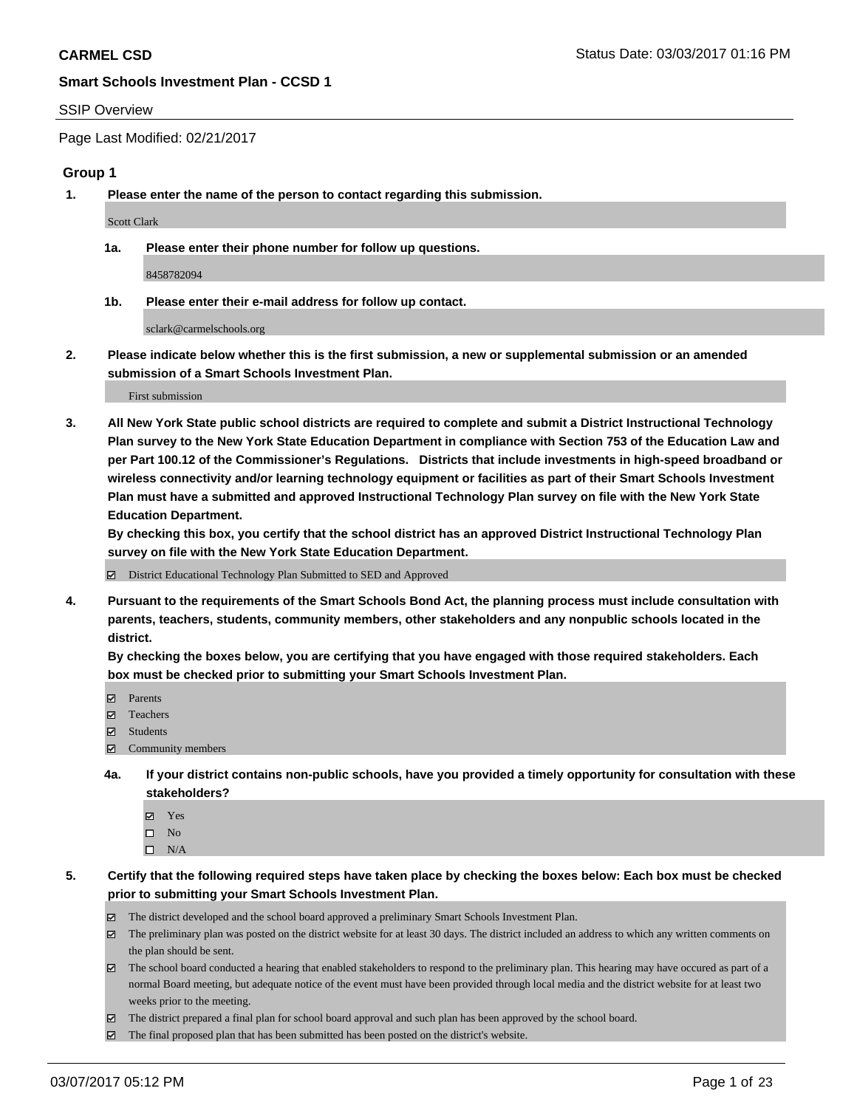### SSIP Overview

Page Last Modified: 02/21/2017

### **Group 1**

**1. Please enter the name of the person to contact regarding this submission.**

Scott Clark

**1a. Please enter their phone number for follow up questions.**

8458782094

**1b. Please enter their e-mail address for follow up contact.**

sclark@carmelschools.org

**2. Please indicate below whether this is the first submission, a new or supplemental submission or an amended submission of a Smart Schools Investment Plan.**

First submission

**3. All New York State public school districts are required to complete and submit a District Instructional Technology Plan survey to the New York State Education Department in compliance with Section 753 of the Education Law and per Part 100.12 of the Commissioner's Regulations. Districts that include investments in high-speed broadband or wireless connectivity and/or learning technology equipment or facilities as part of their Smart Schools Investment Plan must have a submitted and approved Instructional Technology Plan survey on file with the New York State Education Department.** 

**By checking this box, you certify that the school district has an approved District Instructional Technology Plan survey on file with the New York State Education Department.**

District Educational Technology Plan Submitted to SED and Approved

**4. Pursuant to the requirements of the Smart Schools Bond Act, the planning process must include consultation with parents, teachers, students, community members, other stakeholders and any nonpublic schools located in the district.** 

**By checking the boxes below, you are certifying that you have engaged with those required stakeholders. Each box must be checked prior to submitting your Smart Schools Investment Plan.**

- **マ** Parents
- □ Teachers
- Students
- $\Xi$  Community members
- **4a. If your district contains non-public schools, have you provided a timely opportunity for consultation with these stakeholders?**
	- Yes
	- $\hfill \square$  No
	- $\square$  N/A
- **5. Certify that the following required steps have taken place by checking the boxes below: Each box must be checked prior to submitting your Smart Schools Investment Plan.**
	- The district developed and the school board approved a preliminary Smart Schools Investment Plan.
	- $\boxtimes$  The preliminary plan was posted on the district website for at least 30 days. The district included an address to which any written comments on the plan should be sent.
	- $\boxtimes$  The school board conducted a hearing that enabled stakeholders to respond to the preliminary plan. This hearing may have occured as part of a normal Board meeting, but adequate notice of the event must have been provided through local media and the district website for at least two weeks prior to the meeting.
	- The district prepared a final plan for school board approval and such plan has been approved by the school board.
	- $\boxtimes$  The final proposed plan that has been submitted has been posted on the district's website.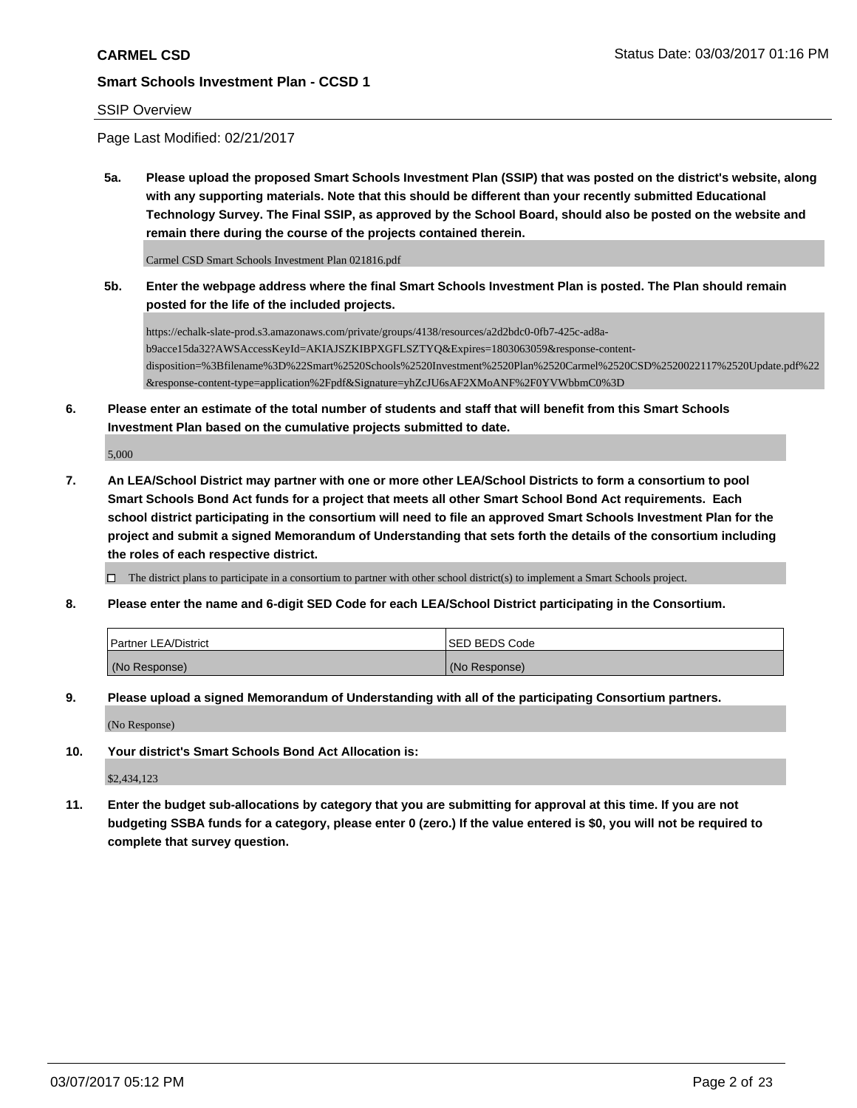## SSIP Overview

Page Last Modified: 02/21/2017

**5a. Please upload the proposed Smart Schools Investment Plan (SSIP) that was posted on the district's website, along with any supporting materials. Note that this should be different than your recently submitted Educational Technology Survey. The Final SSIP, as approved by the School Board, should also be posted on the website and remain there during the course of the projects contained therein.**

Carmel CSD Smart Schools Investment Plan 021816.pdf

**5b. Enter the webpage address where the final Smart Schools Investment Plan is posted. The Plan should remain posted for the life of the included projects.**

https://echalk-slate-prod.s3.amazonaws.com/private/groups/4138/resources/a2d2bdc0-0fb7-425c-ad8ab9acce15da32?AWSAccessKeyId=AKIAJSZKIBPXGFLSZTYQ&Expires=1803063059&response-contentdisposition=%3Bfilename%3D%22Smart%2520Schools%2520Investment%2520Plan%2520Carmel%2520CSD%2520022117%2520Update.pdf%22 &response-content-type=application%2Fpdf&Signature=yhZcJU6sAF2XMoANF%2F0YVWbbmC0%3D

**6. Please enter an estimate of the total number of students and staff that will benefit from this Smart Schools Investment Plan based on the cumulative projects submitted to date.**

5,000

**7. An LEA/School District may partner with one or more other LEA/School Districts to form a consortium to pool Smart Schools Bond Act funds for a project that meets all other Smart School Bond Act requirements. Each school district participating in the consortium will need to file an approved Smart Schools Investment Plan for the project and submit a signed Memorandum of Understanding that sets forth the details of the consortium including the roles of each respective district.**

 $\Box$  The district plans to participate in a consortium to partner with other school district(s) to implement a Smart Schools project.

**8. Please enter the name and 6-digit SED Code for each LEA/School District participating in the Consortium.**

| <b>Partner LEA/District</b> | ISED BEDS Code |
|-----------------------------|----------------|
| (No Response)               | (No Response)  |

**9. Please upload a signed Memorandum of Understanding with all of the participating Consortium partners.**

(No Response)

**10. Your district's Smart Schools Bond Act Allocation is:**

\$2,434,123

**11. Enter the budget sub-allocations by category that you are submitting for approval at this time. If you are not budgeting SSBA funds for a category, please enter 0 (zero.) If the value entered is \$0, you will not be required to complete that survey question.**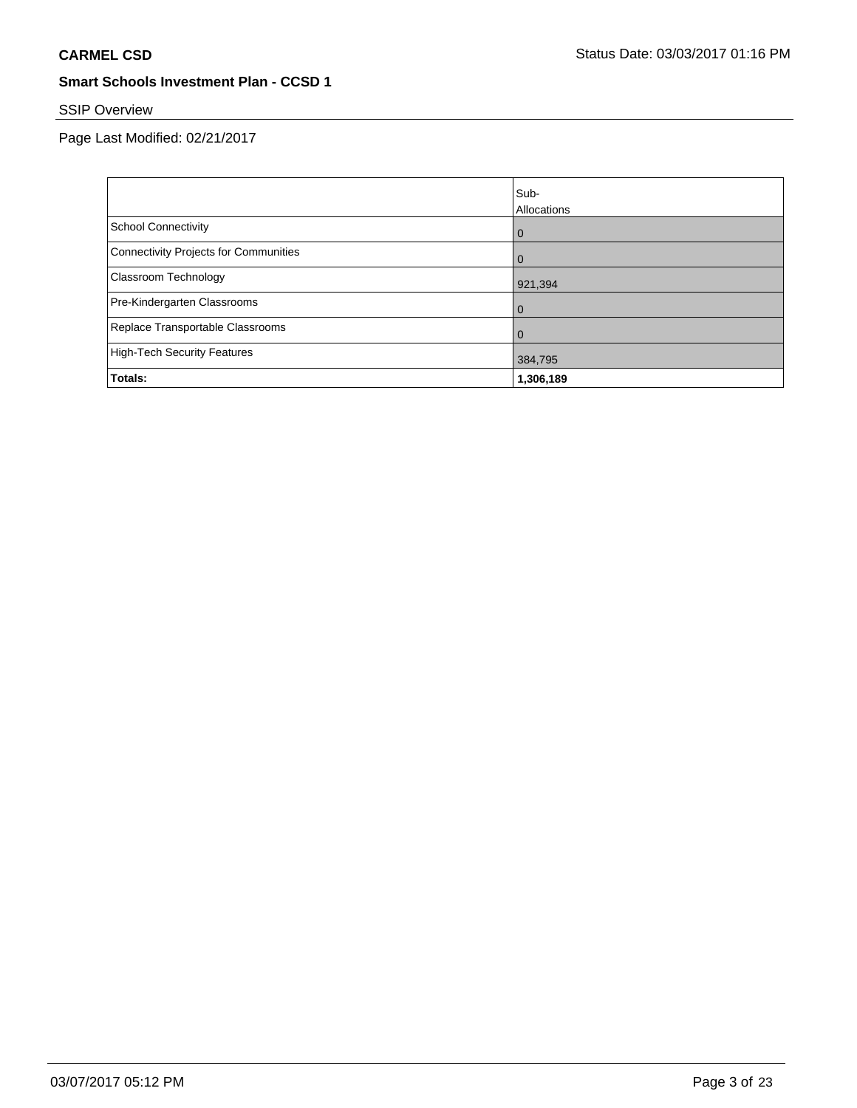# SSIP Overview

Page Last Modified: 02/21/2017

|                                       | Sub-           |
|---------------------------------------|----------------|
|                                       | Allocations    |
| <b>School Connectivity</b>            | $\mathbf 0$    |
| Connectivity Projects for Communities | $\overline{0}$ |
| <b>Classroom Technology</b>           | 921,394        |
| Pre-Kindergarten Classrooms           | $\overline{0}$ |
| Replace Transportable Classrooms      | $\Omega$       |
| High-Tech Security Features           | 384,795        |
| Totals:                               | 1,306,189      |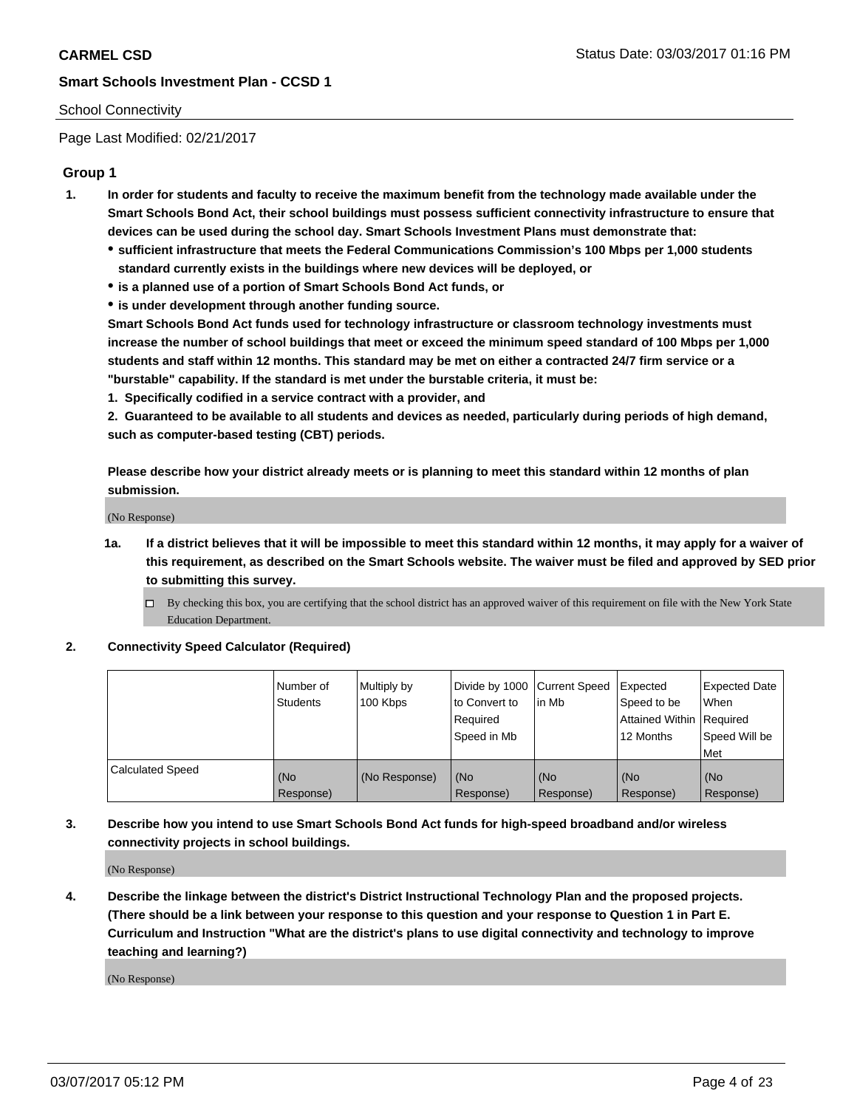### School Connectivity

Page Last Modified: 02/21/2017

### **Group 1**

- **1. In order for students and faculty to receive the maximum benefit from the technology made available under the Smart Schools Bond Act, their school buildings must possess sufficient connectivity infrastructure to ensure that devices can be used during the school day. Smart Schools Investment Plans must demonstrate that:**
	- **sufficient infrastructure that meets the Federal Communications Commission's 100 Mbps per 1,000 students standard currently exists in the buildings where new devices will be deployed, or**
	- **is a planned use of a portion of Smart Schools Bond Act funds, or**
	- **is under development through another funding source.**

**Smart Schools Bond Act funds used for technology infrastructure or classroom technology investments must increase the number of school buildings that meet or exceed the minimum speed standard of 100 Mbps per 1,000 students and staff within 12 months. This standard may be met on either a contracted 24/7 firm service or a "burstable" capability. If the standard is met under the burstable criteria, it must be:**

**1. Specifically codified in a service contract with a provider, and**

**2. Guaranteed to be available to all students and devices as needed, particularly during periods of high demand, such as computer-based testing (CBT) periods.**

**Please describe how your district already meets or is planning to meet this standard within 12 months of plan submission.**

(No Response)

- **1a. If a district believes that it will be impossible to meet this standard within 12 months, it may apply for a waiver of this requirement, as described on the Smart Schools website. The waiver must be filed and approved by SED prior to submitting this survey.**
	- By checking this box, you are certifying that the school district has an approved waiver of this requirement on file with the New York State Education Department.

### **2. Connectivity Speed Calculator (Required)**

|                         | l Number of<br><b>Students</b> | Multiply by<br>100 Kbps | Divide by 1000   Current Speed<br>to Convert to<br>Required<br>l Speed in Mb | in Mb            | Expected<br>Speed to be<br>Attained Within Required<br>12 Months | <b>Expected Date</b><br>When<br>Speed Will be<br><b>Met</b> |
|-------------------------|--------------------------------|-------------------------|------------------------------------------------------------------------------|------------------|------------------------------------------------------------------|-------------------------------------------------------------|
| <b>Calculated Speed</b> | (No<br>Response)               | (No Response)           | (No<br>Response)                                                             | (No<br>Response) | (No<br>Response)                                                 | l (No<br>Response)                                          |

## **3. Describe how you intend to use Smart Schools Bond Act funds for high-speed broadband and/or wireless connectivity projects in school buildings.**

(No Response)

**4. Describe the linkage between the district's District Instructional Technology Plan and the proposed projects. (There should be a link between your response to this question and your response to Question 1 in Part E. Curriculum and Instruction "What are the district's plans to use digital connectivity and technology to improve teaching and learning?)**

(No Response)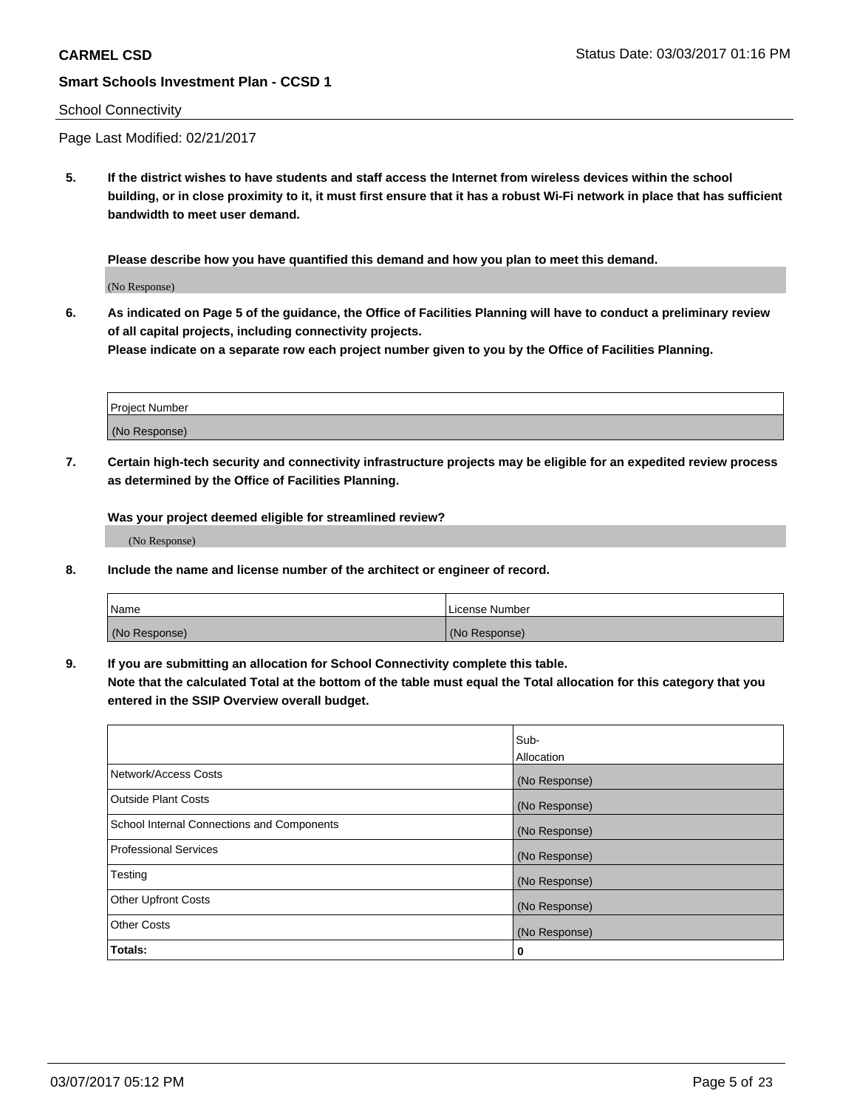### School Connectivity

Page Last Modified: 02/21/2017

**5. If the district wishes to have students and staff access the Internet from wireless devices within the school building, or in close proximity to it, it must first ensure that it has a robust Wi-Fi network in place that has sufficient bandwidth to meet user demand.**

**Please describe how you have quantified this demand and how you plan to meet this demand.**

(No Response)

**6. As indicated on Page 5 of the guidance, the Office of Facilities Planning will have to conduct a preliminary review of all capital projects, including connectivity projects.**

**Please indicate on a separate row each project number given to you by the Office of Facilities Planning.**

| Project Number |  |
|----------------|--|
|                |  |
| (No Response)  |  |

**7. Certain high-tech security and connectivity infrastructure projects may be eligible for an expedited review process as determined by the Office of Facilities Planning.**

**Was your project deemed eligible for streamlined review?**

(No Response)

**8. Include the name and license number of the architect or engineer of record.**

| Name          | License Number |
|---------------|----------------|
| (No Response) | (No Response)  |

**9. If you are submitting an allocation for School Connectivity complete this table.**

**Note that the calculated Total at the bottom of the table must equal the Total allocation for this category that you entered in the SSIP Overview overall budget.** 

|                                            | Sub-          |
|--------------------------------------------|---------------|
|                                            | Allocation    |
| Network/Access Costs                       | (No Response) |
| Outside Plant Costs                        | (No Response) |
| School Internal Connections and Components | (No Response) |
| <b>Professional Services</b>               | (No Response) |
| Testing                                    | (No Response) |
| <b>Other Upfront Costs</b>                 | (No Response) |
| <b>Other Costs</b>                         | (No Response) |
| Totals:                                    | 0             |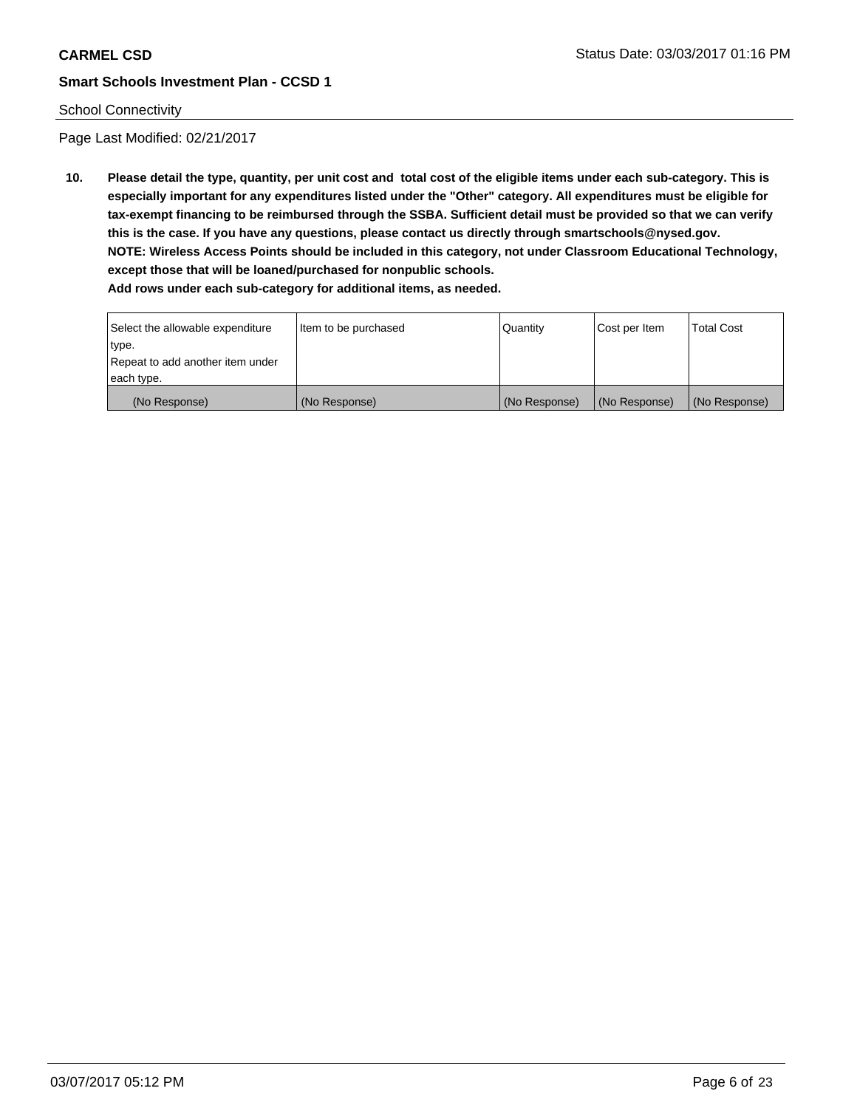### School Connectivity

Page Last Modified: 02/21/2017

**10. Please detail the type, quantity, per unit cost and total cost of the eligible items under each sub-category. This is especially important for any expenditures listed under the "Other" category. All expenditures must be eligible for tax-exempt financing to be reimbursed through the SSBA. Sufficient detail must be provided so that we can verify this is the case. If you have any questions, please contact us directly through smartschools@nysed.gov. NOTE: Wireless Access Points should be included in this category, not under Classroom Educational Technology, except those that will be loaned/purchased for nonpublic schools.**

| Select the allowable expenditure | Item to be purchased | Quantity      | Cost per Item | Total Cost    |
|----------------------------------|----------------------|---------------|---------------|---------------|
| type.                            |                      |               |               |               |
| Repeat to add another item under |                      |               |               |               |
| each type.                       |                      |               |               |               |
| (No Response)                    | (No Response)        | (No Response) | (No Response) | (No Response) |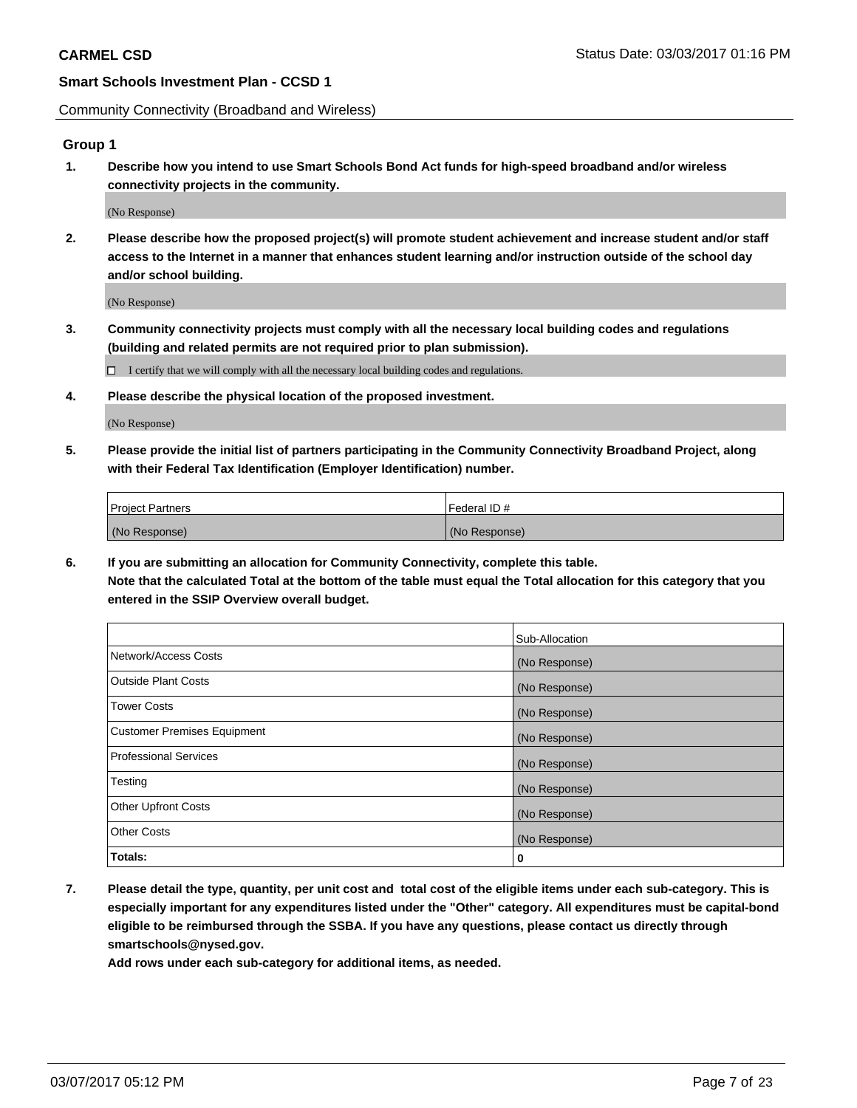Community Connectivity (Broadband and Wireless)

### **Group 1**

**1. Describe how you intend to use Smart Schools Bond Act funds for high-speed broadband and/or wireless connectivity projects in the community.**

(No Response)

**2. Please describe how the proposed project(s) will promote student achievement and increase student and/or staff access to the Internet in a manner that enhances student learning and/or instruction outside of the school day and/or school building.**

(No Response)

**3. Community connectivity projects must comply with all the necessary local building codes and regulations (building and related permits are not required prior to plan submission).**

 $\Box$  I certify that we will comply with all the necessary local building codes and regulations.

**4. Please describe the physical location of the proposed investment.**

(No Response)

**5. Please provide the initial list of partners participating in the Community Connectivity Broadband Project, along with their Federal Tax Identification (Employer Identification) number.**

| <b>Project Partners</b> | l Federal ID # |
|-------------------------|----------------|
| (No Response)           | (No Response)  |

**6. If you are submitting an allocation for Community Connectivity, complete this table. Note that the calculated Total at the bottom of the table must equal the Total allocation for this category that you entered in the SSIP Overview overall budget.**

|                                    | Sub-Allocation |
|------------------------------------|----------------|
| Network/Access Costs               | (No Response)  |
| Outside Plant Costs                | (No Response)  |
| <b>Tower Costs</b>                 | (No Response)  |
| <b>Customer Premises Equipment</b> | (No Response)  |
| Professional Services              | (No Response)  |
| Testing                            | (No Response)  |
| <b>Other Upfront Costs</b>         | (No Response)  |
| <b>Other Costs</b>                 | (No Response)  |
| Totals:                            | 0              |

**7. Please detail the type, quantity, per unit cost and total cost of the eligible items under each sub-category. This is especially important for any expenditures listed under the "Other" category. All expenditures must be capital-bond eligible to be reimbursed through the SSBA. If you have any questions, please contact us directly through smartschools@nysed.gov.**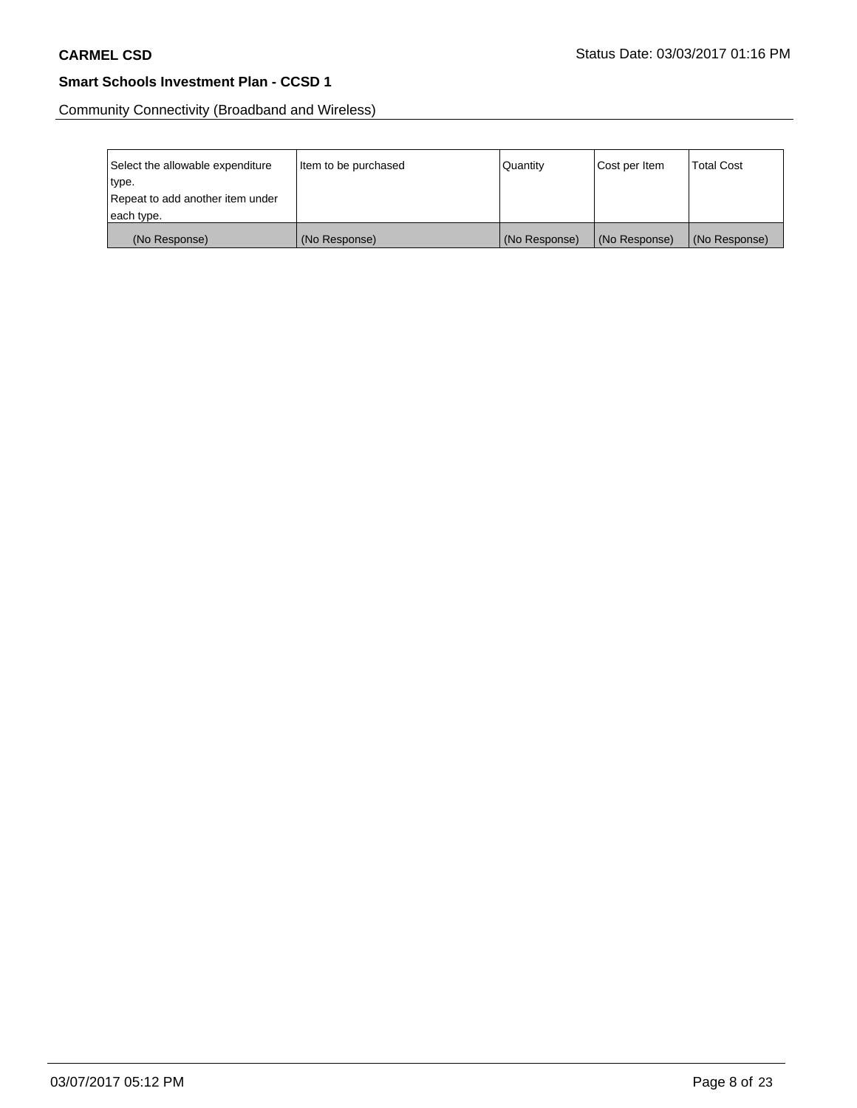Community Connectivity (Broadband and Wireless)

| Select the allowable expenditure<br>type. | Item to be purchased | Quantity      | Cost per Item | <b>Total Cost</b> |
|-------------------------------------------|----------------------|---------------|---------------|-------------------|
| Repeat to add another item under          |                      |               |               |                   |
| each type.                                |                      |               |               |                   |
| (No Response)                             | (No Response)        | (No Response) | (No Response) | (No Response)     |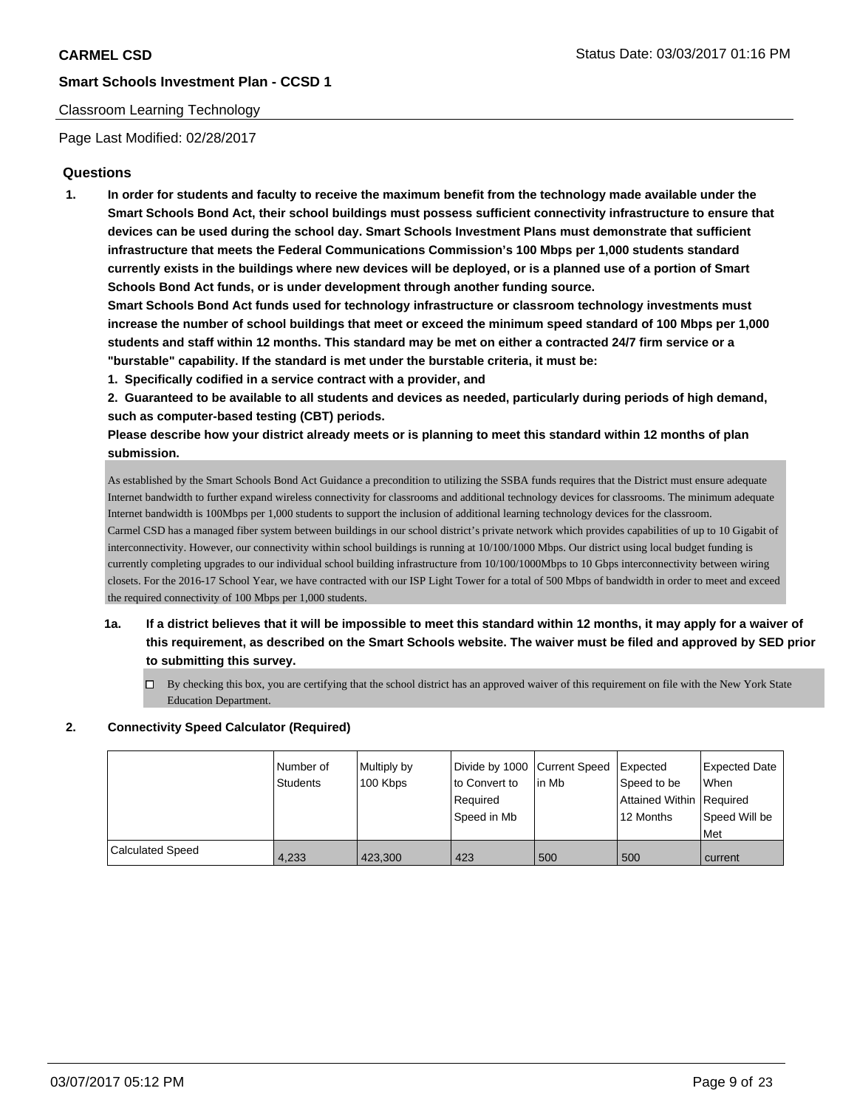### Classroom Learning Technology

Page Last Modified: 02/28/2017

### **Questions**

**1. In order for students and faculty to receive the maximum benefit from the technology made available under the Smart Schools Bond Act, their school buildings must possess sufficient connectivity infrastructure to ensure that devices can be used during the school day. Smart Schools Investment Plans must demonstrate that sufficient infrastructure that meets the Federal Communications Commission's 100 Mbps per 1,000 students standard currently exists in the buildings where new devices will be deployed, or is a planned use of a portion of Smart Schools Bond Act funds, or is under development through another funding source.**

**Smart Schools Bond Act funds used for technology infrastructure or classroom technology investments must increase the number of school buildings that meet or exceed the minimum speed standard of 100 Mbps per 1,000 students and staff within 12 months. This standard may be met on either a contracted 24/7 firm service or a "burstable" capability. If the standard is met under the burstable criteria, it must be:**

**1. Specifically codified in a service contract with a provider, and**

**2. Guaranteed to be available to all students and devices as needed, particularly during periods of high demand, such as computer-based testing (CBT) periods.**

**Please describe how your district already meets or is planning to meet this standard within 12 months of plan submission.**

As established by the Smart Schools Bond Act Guidance a precondition to utilizing the SSBA funds requires that the District must ensure adequate Internet bandwidth to further expand wireless connectivity for classrooms and additional technology devices for classrooms. The minimum adequate Internet bandwidth is 100Mbps per 1,000 students to support the inclusion of additional learning technology devices for the classroom. Carmel CSD has a managed fiber system between buildings in our school district's private network which provides capabilities of up to 10 Gigabit of interconnectivity. However, our connectivity within school buildings is running at 10/100/1000 Mbps. Our district using local budget funding is currently completing upgrades to our individual school building infrastructure from 10/100/1000Mbps to 10 Gbps interconnectivity between wiring closets. For the 2016-17 School Year, we have contracted with our ISP Light Tower for a total of 500 Mbps of bandwidth in order to meet and exceed the required connectivity of 100 Mbps per 1,000 students.

- **1a. If a district believes that it will be impossible to meet this standard within 12 months, it may apply for a waiver of this requirement, as described on the Smart Schools website. The waiver must be filed and approved by SED prior to submitting this survey.**
	- $\Box$  By checking this box, you are certifying that the school district has an approved waiver of this requirement on file with the New York State Education Department.

### **2. Connectivity Speed Calculator (Required)**

|                  | I Number of<br><b>Students</b> | Multiply by<br>100 Kbps | Divide by 1000 Current Speed<br>to Convert to<br>Required<br>Speed in Mb | lin Mb | Expected<br>Speed to be<br>Attained Within Required<br>12 Months | <b>Expected Date</b><br>When<br>Speed Will be<br>l Met |
|------------------|--------------------------------|-------------------------|--------------------------------------------------------------------------|--------|------------------------------------------------------------------|--------------------------------------------------------|
| Calculated Speed | 4.233                          | 423,300                 | 423                                                                      | 500    | 500                                                              | current                                                |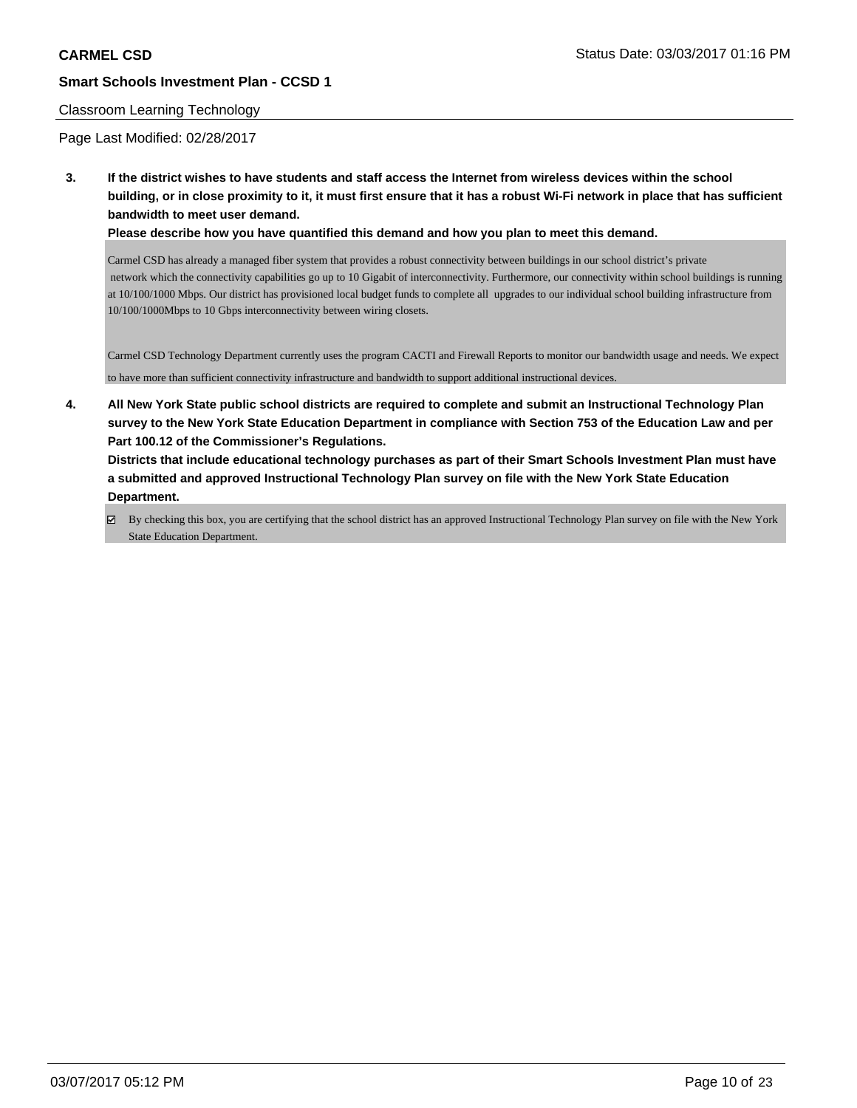### Classroom Learning Technology

Page Last Modified: 02/28/2017

**3. If the district wishes to have students and staff access the Internet from wireless devices within the school building, or in close proximity to it, it must first ensure that it has a robust Wi-Fi network in place that has sufficient bandwidth to meet user demand.**

**Please describe how you have quantified this demand and how you plan to meet this demand.**

Carmel CSD has already a managed fiber system that provides a robust connectivity between buildings in our school district's private network which the connectivity capabilities go up to 10 Gigabit of interconnectivity. Furthermore, our connectivity within school buildings is running at 10/100/1000 Mbps. Our district has provisioned local budget funds to complete all upgrades to our individual school building infrastructure from 10/100/1000Mbps to 10 Gbps interconnectivity between wiring closets.

Carmel CSD Technology Department currently uses the program CACTI and Firewall Reports to monitor our bandwidth usage and needs. We expect

to have more than sufficient connectivity infrastructure and bandwidth to support additional instructional devices.

**4. All New York State public school districts are required to complete and submit an Instructional Technology Plan survey to the New York State Education Department in compliance with Section 753 of the Education Law and per Part 100.12 of the Commissioner's Regulations.**

**Districts that include educational technology purchases as part of their Smart Schools Investment Plan must have a submitted and approved Instructional Technology Plan survey on file with the New York State Education Department.**

By checking this box, you are certifying that the school district has an approved Instructional Technology Plan survey on file with the New York State Education Department.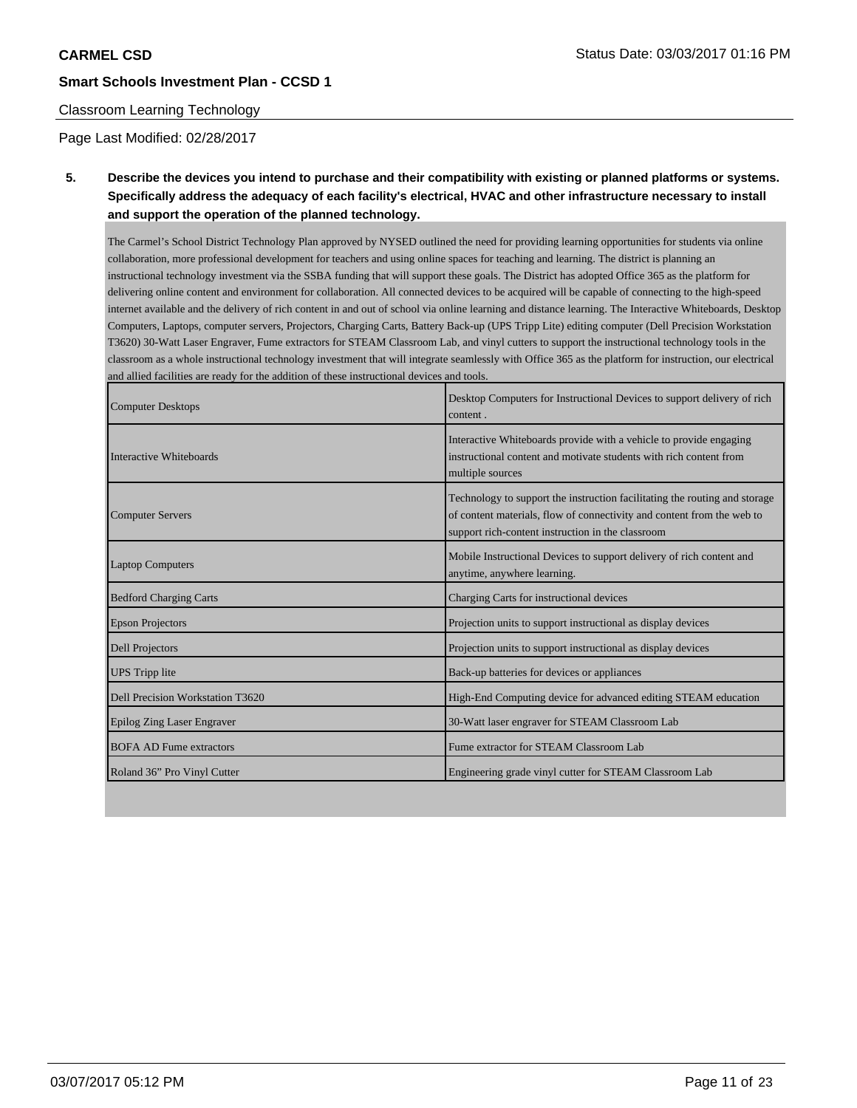### Classroom Learning Technology

Page Last Modified: 02/28/2017

**5. Describe the devices you intend to purchase and their compatibility with existing or planned platforms or systems. Specifically address the adequacy of each facility's electrical, HVAC and other infrastructure necessary to install and support the operation of the planned technology.**

The Carmel's School District Technology Plan approved by NYSED outlined the need for providing learning opportunities for students via online collaboration, more professional development for teachers and using online spaces for teaching and learning. The district is planning an instructional technology investment via the SSBA funding that will support these goals. The District has adopted Office 365 as the platform for delivering online content and environment for collaboration. All connected devices to be acquired will be capable of connecting to the high-speed internet available and the delivery of rich content in and out of school via online learning and distance learning. The Interactive Whiteboards, Desktop Computers, Laptops, computer servers, Projectors, Charging Carts, Battery Back-up (UPS Tripp Lite) editing computer (Dell Precision Workstation T3620) 30-Watt Laser Engraver, Fume extractors for STEAM Classroom Lab, and vinyl cutters to support the instructional technology tools in the classroom as a whole instructional technology investment that will integrate seamlessly with Office 365 as the platform for instruction, our electrical and allied facilities are ready for the addition of these instructional devices and tools.

| <b>Computer Desktops</b>         | Desktop Computers for Instructional Devices to support delivery of rich<br>content.                                                                                                                       |
|----------------------------------|-----------------------------------------------------------------------------------------------------------------------------------------------------------------------------------------------------------|
| Interactive Whiteboards          | Interactive Whiteboards provide with a vehicle to provide engaging<br>instructional content and motivate students with rich content from<br>multiple sources                                              |
| Computer Servers                 | Technology to support the instruction facilitating the routing and storage<br>of content materials, flow of connectivity and content from the web to<br>support rich-content instruction in the classroom |
| <b>Laptop Computers</b>          | Mobile Instructional Devices to support delivery of rich content and<br>anytime, anywhere learning.                                                                                                       |
| <b>Bedford Charging Carts</b>    | Charging Carts for instructional devices                                                                                                                                                                  |
| <b>Epson Projectors</b>          | Projection units to support instructional as display devices                                                                                                                                              |
| <b>Dell Projectors</b>           | Projection units to support instructional as display devices                                                                                                                                              |
| <b>UPS</b> Tripp lite            | Back-up batteries for devices or appliances                                                                                                                                                               |
| Dell Precision Workstation T3620 | High-End Computing device for advanced editing STEAM education                                                                                                                                            |
| Epilog Zing Laser Engraver       | 30-Watt laser engraver for STEAM Classroom Lab                                                                                                                                                            |
| <b>BOFA AD Fume extractors</b>   | Fume extractor for STEAM Classroom Lab                                                                                                                                                                    |
| Roland 36" Pro Vinyl Cutter      | Engineering grade vinyl cutter for STEAM Classroom Lab                                                                                                                                                    |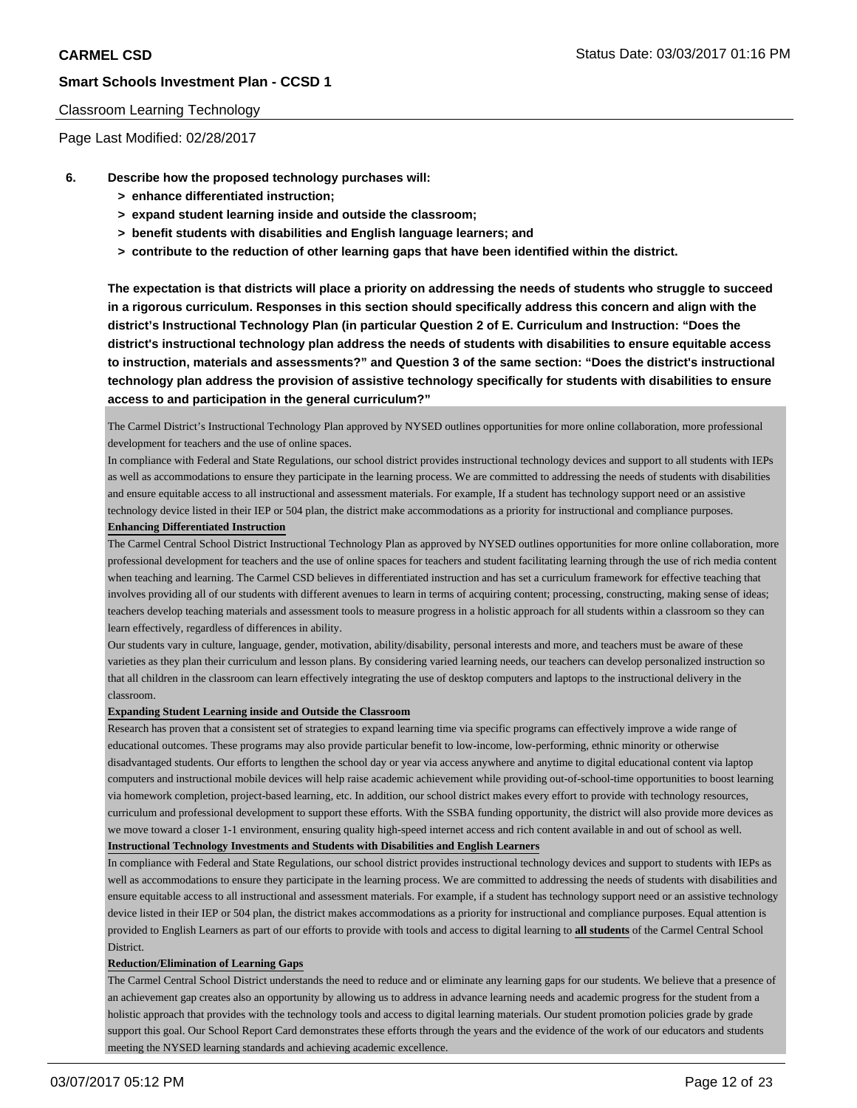### Classroom Learning Technology

Page Last Modified: 02/28/2017

- **6. Describe how the proposed technology purchases will:**
	- **> enhance differentiated instruction;**
	- **> expand student learning inside and outside the classroom;**
	- **> benefit students with disabilities and English language learners; and**
	- **> contribute to the reduction of other learning gaps that have been identified within the district.**

**The expectation is that districts will place a priority on addressing the needs of students who struggle to succeed in a rigorous curriculum. Responses in this section should specifically address this concern and align with the district's Instructional Technology Plan (in particular Question 2 of E. Curriculum and Instruction: "Does the district's instructional technology plan address the needs of students with disabilities to ensure equitable access to instruction, materials and assessments?" and Question 3 of the same section: "Does the district's instructional technology plan address the provision of assistive technology specifically for students with disabilities to ensure access to and participation in the general curriculum?"**

The Carmel District's Instructional Technology Plan approved by NYSED outlines opportunities for more online collaboration, more professional development for teachers and the use of online spaces.

In compliance with Federal and State Regulations, our school district provides instructional technology devices and support to all students with IEPs as well as accommodations to ensure they participate in the learning process. We are committed to addressing the needs of students with disabilities and ensure equitable access to all instructional and assessment materials. For example, If a student has technology support need or an assistive technology device listed in their IEP or 504 plan, the district make accommodations as a priority for instructional and compliance purposes.

### **Enhancing Differentiated Instruction**

The Carmel Central School District Instructional Technology Plan as approved by NYSED outlines opportunities for more online collaboration, more professional development for teachers and the use of online spaces for teachers and student facilitating learning through the use of rich media content when teaching and learning. The Carmel CSD believes in differentiated instruction and has set a curriculum framework for effective teaching that involves providing all of our students with different avenues to learn in terms of acquiring content; processing, constructing, making sense of ideas; teachers develop teaching materials and assessment tools to measure progress in a holistic approach for all students within a classroom so they can learn effectively, regardless of differences in ability.

Our students vary in culture, language, gender, motivation, ability/disability, personal interests and more, and teachers must be aware of these varieties as they plan their curriculum and lesson plans. By considering varied learning needs, our teachers can develop personalized instruction so that all children in the classroom can learn effectively integrating the use of desktop computers and laptops to the instructional delivery in the classroom.

#### **Expanding Student Learning inside and Outside the Classroom**

Research has proven that a consistent set of strategies to expand learning time via specific programs can effectively improve a wide range of educational outcomes. These programs may also provide particular benefit to low-income, low-performing, ethnic minority or otherwise disadvantaged students. Our efforts to lengthen the school day or year via access anywhere and anytime to digital educational content via laptop computers and instructional mobile devices will help raise academic achievement while providing out-of-school-time opportunities to boost learning via homework completion, project-based learning, etc. In addition, our school district makes every effort to provide with technology resources, curriculum and professional development to support these efforts. With the SSBA funding opportunity, the district will also provide more devices as we move toward a closer 1-1 environment, ensuring quality high-speed internet access and rich content available in and out of school as well. **Instructional Technology Investments and Students with Disabilities and English Learners**

In compliance with Federal and State Regulations, our school district provides instructional technology devices and support to students with IEPs as well as accommodations to ensure they participate in the learning process. We are committed to addressing the needs of students with disabilities and ensure equitable access to all instructional and assessment materials. For example, if a student has technology support need or an assistive technology device listed in their IEP or 504 plan, the district makes accommodations as a priority for instructional and compliance purposes. Equal attention is provided to English Learners as part of our efforts to provide with tools and access to digital learning to **all students** of the Carmel Central School District.

#### **Reduction/Elimination of Learning Gaps**

The Carmel Central School District understands the need to reduce and or eliminate any learning gaps for our students. We believe that a presence of an achievement gap creates also an opportunity by allowing us to address in advance learning needs and academic progress for the student from a holistic approach that provides with the technology tools and access to digital learning materials. Our student promotion policies grade by grade support this goal. Our School Report Card demonstrates these efforts through the years and the evidence of the work of our educators and students meeting the NYSED learning standards and achieving academic excellence.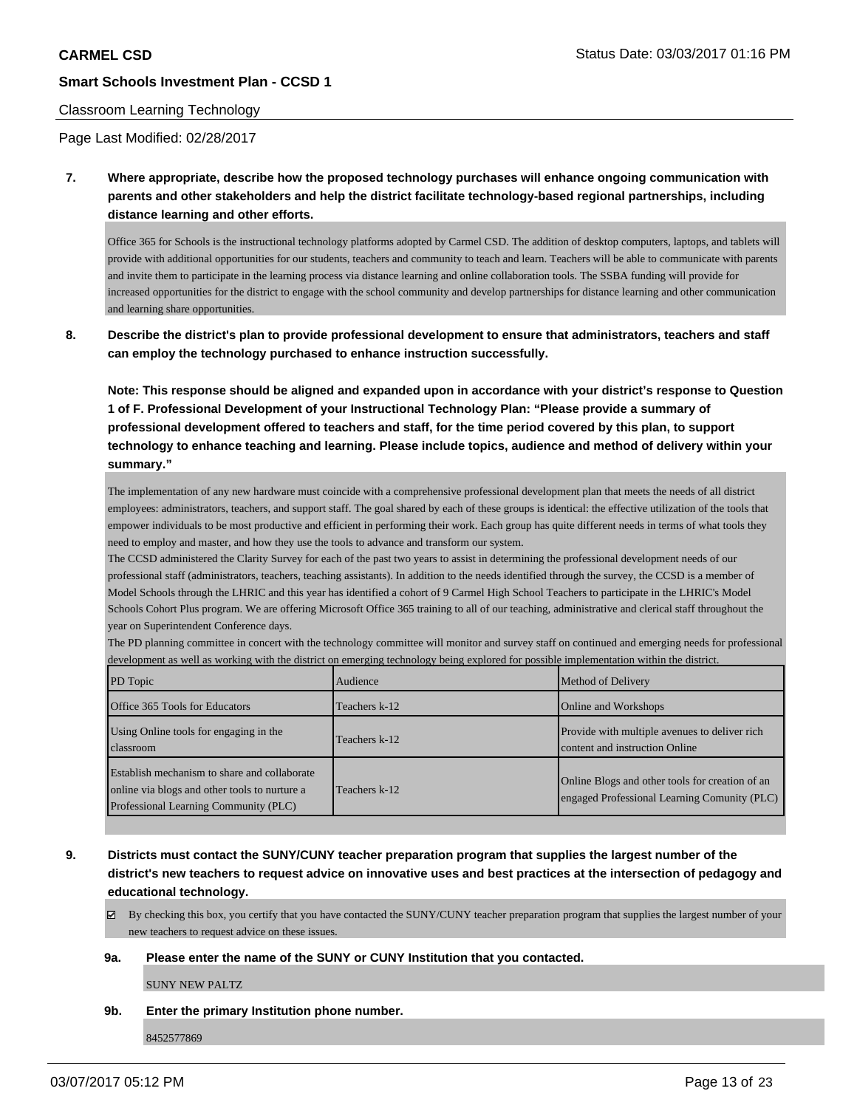### Classroom Learning Technology

Page Last Modified: 02/28/2017

**7. Where appropriate, describe how the proposed technology purchases will enhance ongoing communication with parents and other stakeholders and help the district facilitate technology-based regional partnerships, including distance learning and other efforts.**

Office 365 for Schools is the instructional technology platforms adopted by Carmel CSD. The addition of desktop computers, laptops, and tablets will provide with additional opportunities for our students, teachers and community to teach and learn. Teachers will be able to communicate with parents and invite them to participate in the learning process via distance learning and online collaboration tools. The SSBA funding will provide for increased opportunities for the district to engage with the school community and develop partnerships for distance learning and other communication and learning share opportunities.

**8. Describe the district's plan to provide professional development to ensure that administrators, teachers and staff can employ the technology purchased to enhance instruction successfully.**

**Note: This response should be aligned and expanded upon in accordance with your district's response to Question 1 of F. Professional Development of your Instructional Technology Plan: "Please provide a summary of professional development offered to teachers and staff, for the time period covered by this plan, to support technology to enhance teaching and learning. Please include topics, audience and method of delivery within your summary."**

The implementation of any new hardware must coincide with a comprehensive professional development plan that meets the needs of all district employees: administrators, teachers, and support staff. The goal shared by each of these groups is identical: the effective utilization of the tools that empower individuals to be most productive and efficient in performing their work. Each group has quite different needs in terms of what tools they need to employ and master, and how they use the tools to advance and transform our system.

The CCSD administered the Clarity Survey for each of the past two years to assist in determining the professional development needs of our professional staff (administrators, teachers, teaching assistants). In addition to the needs identified through the survey, the CCSD is a member of Model Schools through the LHRIC and this year has identified a cohort of 9 Carmel High School Teachers to participate in the LHRIC's Model Schools Cohort Plus program. We are offering Microsoft Office 365 training to all of our teaching, administrative and clerical staff throughout the year on Superintendent Conference days.

The PD planning committee in concert with the technology committee will monitor and survey staff on continued and emerging needs for professional development as well as working with the district on emerging technology being explored for possible implementation within the district.

| <b>PD</b> Topic                                                                                                                               | Audience      | Method of Delivery                                                                              |
|-----------------------------------------------------------------------------------------------------------------------------------------------|---------------|-------------------------------------------------------------------------------------------------|
| <b>Office 365 Tools for Educators</b>                                                                                                         | Teachers k-12 | Online and Workshops                                                                            |
| Using Online tools for engaging in the<br><b>classroom</b>                                                                                    | Teachers k-12 | Provide with multiple avenues to deliver rich<br>content and instruction Online                 |
| <b>Establish mechanism to share and collaborate</b><br>online via blogs and other tools to nurture a<br>Professional Learning Community (PLC) | Teachers k-12 | Online Blogs and other tools for creation of an<br>engaged Professional Learning Comunity (PLC) |

## **9. Districts must contact the SUNY/CUNY teacher preparation program that supplies the largest number of the district's new teachers to request advice on innovative uses and best practices at the intersection of pedagogy and educational technology.**

 $\boxtimes$  By checking this box, you certify that you have contacted the SUNY/CUNY teacher preparation program that supplies the largest number of your new teachers to request advice on these issues.

### **9a. Please enter the name of the SUNY or CUNY Institution that you contacted.**

SUNY NEW PALTZ

**9b. Enter the primary Institution phone number.**

8452577869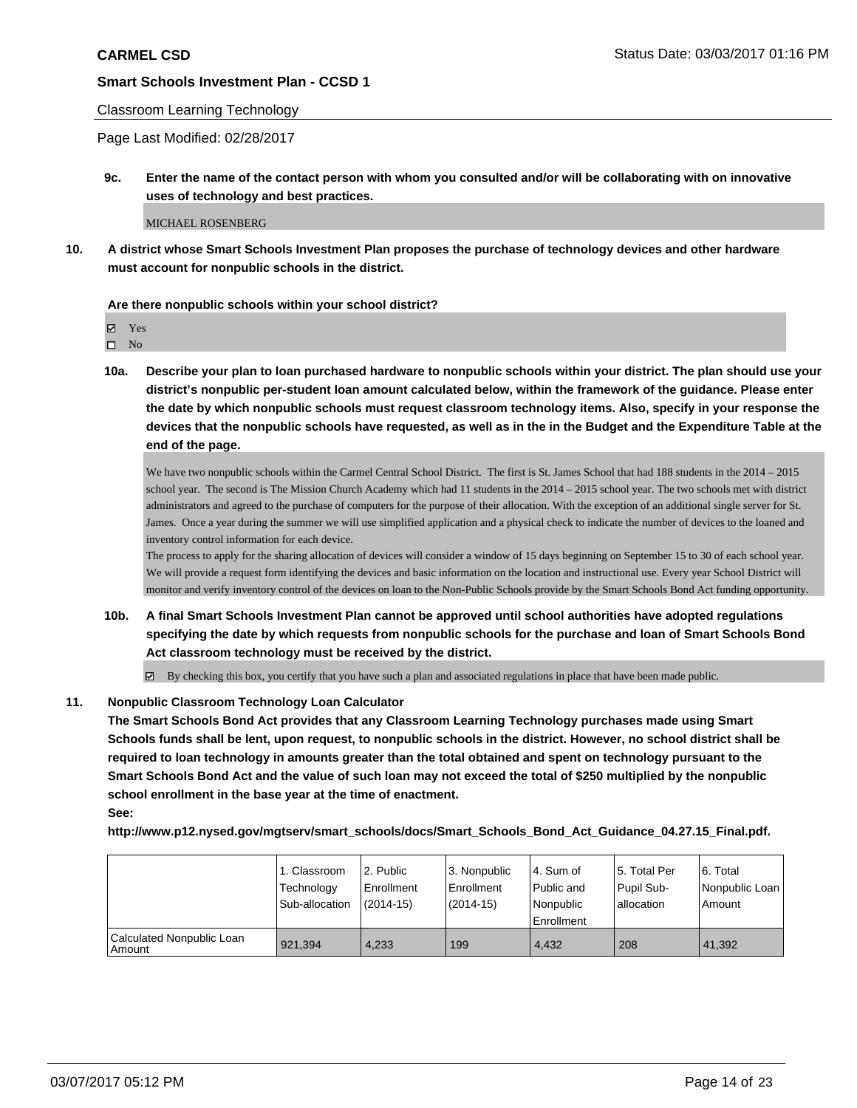### Classroom Learning Technology

Page Last Modified: 02/28/2017

**9c. Enter the name of the contact person with whom you consulted and/or will be collaborating with on innovative uses of technology and best practices.**

MICHAEL ROSENBERG

**10. A district whose Smart Schools Investment Plan proposes the purchase of technology devices and other hardware must account for nonpublic schools in the district.**

### **Are there nonpublic schools within your school district?**

Yes

 $\square$  No

**10a. Describe your plan to loan purchased hardware to nonpublic schools within your district. The plan should use your district's nonpublic per-student loan amount calculated below, within the framework of the guidance. Please enter the date by which nonpublic schools must request classroom technology items. Also, specify in your response the devices that the nonpublic schools have requested, as well as in the in the Budget and the Expenditure Table at the end of the page.**

We have two nonpublic schools within the Carmel Central School District. The first is St. James School that had 188 students in the 2014 – 2015 school year. The second is The Mission Church Academy which had 11 students in the 2014 – 2015 school year. The two schools met with district administrators and agreed to the purchase of computers for the purpose of their allocation. With the exception of an additional single server for St. James. Once a year during the summer we will use simplified application and a physical check to indicate the number of devices to the loaned and inventory control information for each device.

The process to apply for the sharing allocation of devices will consider a window of 15 days beginning on September 15 to 30 of each school year. We will provide a request form identifying the devices and basic information on the location and instructional use. Every year School District will monitor and verify inventory control of the devices on loan to the Non-Public Schools provide by the Smart Schools Bond Act funding opportunity.

**10b. A final Smart Schools Investment Plan cannot be approved until school authorities have adopted regulations specifying the date by which requests from nonpublic schools for the purchase and loan of Smart Schools Bond Act classroom technology must be received by the district.**

 $\boxtimes$  By checking this box, you certify that you have such a plan and associated regulations in place that have been made public.

### **11. Nonpublic Classroom Technology Loan Calculator**

**The Smart Schools Bond Act provides that any Classroom Learning Technology purchases made using Smart Schools funds shall be lent, upon request, to nonpublic schools in the district. However, no school district shall be required to loan technology in amounts greater than the total obtained and spent on technology pursuant to the Smart Schools Bond Act and the value of such loan may not exceed the total of \$250 multiplied by the nonpublic school enrollment in the base year at the time of enactment.**

**See:**

**http://www.p12.nysed.gov/mgtserv/smart\_schools/docs/Smart\_Schools\_Bond\_Act\_Guidance\_04.27.15\_Final.pdf.**

|                                       | 1. Classroom<br>Technology<br>Sub-allocation | l 2. Public<br>Enrollment<br>$(2014-15)$ | 3. Nonpublic<br>Enrollment<br>$(2014-15)$ | l 4. Sum of<br>Public and<br>l Nonpublic<br>Enrollment | 15. Total Per<br>Pupil Sub-<br>allocation | 6. Total<br>Nonpublic Loan<br>Amount |
|---------------------------------------|----------------------------------------------|------------------------------------------|-------------------------------------------|--------------------------------------------------------|-------------------------------------------|--------------------------------------|
| Calculated Nonpublic Loan<br>l Amount | 921.394                                      | 4.233                                    | 199                                       | 4.432                                                  | 208                                       | 41.392                               |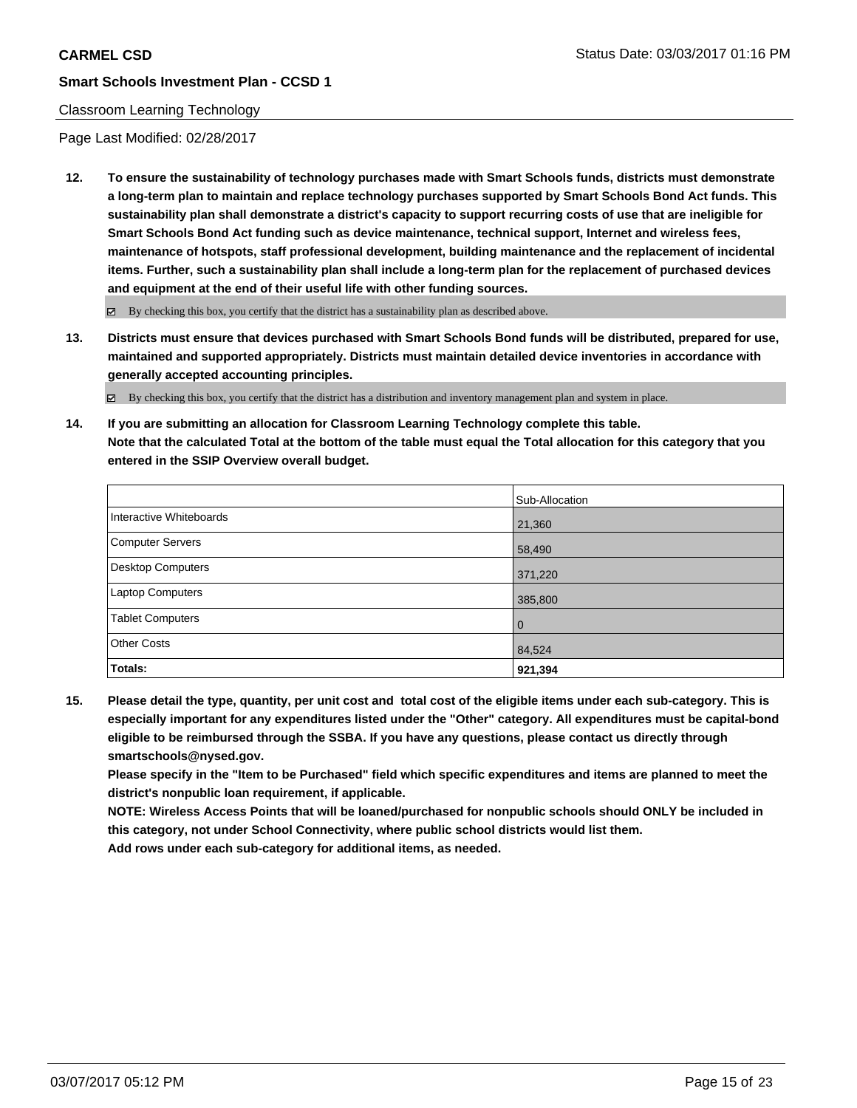### Classroom Learning Technology

Page Last Modified: 02/28/2017

**12. To ensure the sustainability of technology purchases made with Smart Schools funds, districts must demonstrate a long-term plan to maintain and replace technology purchases supported by Smart Schools Bond Act funds. This sustainability plan shall demonstrate a district's capacity to support recurring costs of use that are ineligible for Smart Schools Bond Act funding such as device maintenance, technical support, Internet and wireless fees, maintenance of hotspots, staff professional development, building maintenance and the replacement of incidental items. Further, such a sustainability plan shall include a long-term plan for the replacement of purchased devices and equipment at the end of their useful life with other funding sources.**

 $\boxtimes$  By checking this box, you certify that the district has a sustainability plan as described above.

**13. Districts must ensure that devices purchased with Smart Schools Bond funds will be distributed, prepared for use, maintained and supported appropriately. Districts must maintain detailed device inventories in accordance with generally accepted accounting principles.**

By checking this box, you certify that the district has a distribution and inventory management plan and system in place.

**14. If you are submitting an allocation for Classroom Learning Technology complete this table. Note that the calculated Total at the bottom of the table must equal the Total allocation for this category that you entered in the SSIP Overview overall budget.**

|                          | Sub-Allocation |
|--------------------------|----------------|
| Interactive Whiteboards  | 21,360         |
| Computer Servers         | 58,490         |
| <b>Desktop Computers</b> | 371,220        |
| <b>Laptop Computers</b>  | 385,800        |
| <b>Tablet Computers</b>  | l 0            |
| <b>Other Costs</b>       | 84,524         |
| Totals:                  | 921,394        |

**15. Please detail the type, quantity, per unit cost and total cost of the eligible items under each sub-category. This is especially important for any expenditures listed under the "Other" category. All expenditures must be capital-bond eligible to be reimbursed through the SSBA. If you have any questions, please contact us directly through smartschools@nysed.gov.**

**Please specify in the "Item to be Purchased" field which specific expenditures and items are planned to meet the district's nonpublic loan requirement, if applicable.**

**NOTE: Wireless Access Points that will be loaned/purchased for nonpublic schools should ONLY be included in this category, not under School Connectivity, where public school districts would list them.**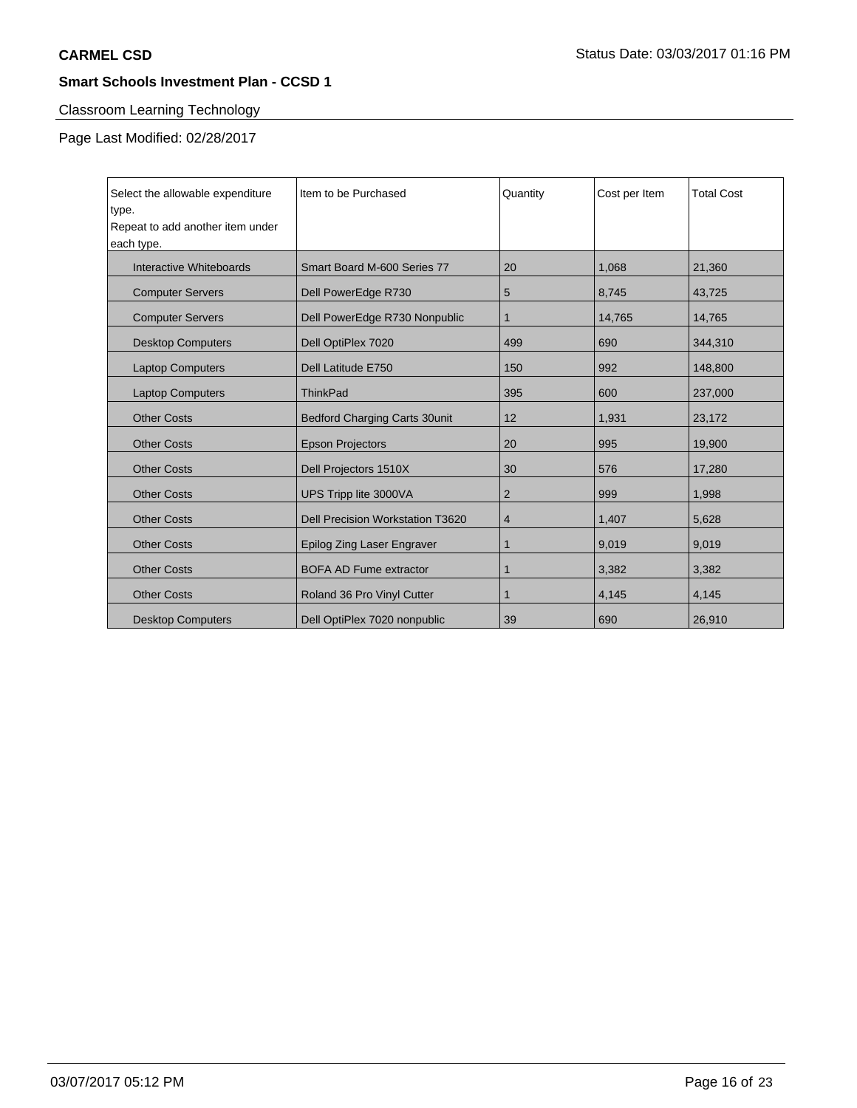# Classroom Learning Technology

Page Last Modified: 02/28/2017

| Select the allowable expenditure<br>type.<br>Repeat to add another item under<br>each type. | Item to be Purchased                    | Quantity       | Cost per Item | <b>Total Cost</b> |
|---------------------------------------------------------------------------------------------|-----------------------------------------|----------------|---------------|-------------------|
| Interactive Whiteboards                                                                     | Smart Board M-600 Series 77             | 20             | 1,068         | 21,360            |
| <b>Computer Servers</b>                                                                     | Dell PowerEdge R730                     | 5              | 8,745         | 43,725            |
| <b>Computer Servers</b>                                                                     | Dell PowerEdge R730 Nonpublic           | 1              | 14,765        | 14,765            |
| <b>Desktop Computers</b>                                                                    | Dell OptiPlex 7020                      | 499            | 690           | 344,310           |
| <b>Laptop Computers</b>                                                                     | Dell Latitude E750                      | 150            | 992           | 148,800           |
| <b>Laptop Computers</b>                                                                     | <b>ThinkPad</b>                         | 395            | 600           | 237,000           |
| <b>Other Costs</b>                                                                          | <b>Bedford Charging Carts 30unit</b>    | 12             | 1,931         | 23,172            |
| <b>Other Costs</b>                                                                          | <b>Epson Projectors</b>                 | 20             | 995           | 19,900            |
| <b>Other Costs</b>                                                                          | Dell Projectors 1510X                   | 30             | 576           | 17,280            |
| <b>Other Costs</b>                                                                          | UPS Tripp lite 3000VA                   | 2              | 999           | 1,998             |
| <b>Other Costs</b>                                                                          | <b>Dell Precision Workstation T3620</b> | $\overline{4}$ | 1,407         | 5,628             |
| <b>Other Costs</b>                                                                          | <b>Epilog Zing Laser Engraver</b>       | 1              | 9,019         | 9,019             |
| <b>Other Costs</b>                                                                          | <b>BOFA AD Fume extractor</b>           | 1              | 3,382         | 3,382             |
| <b>Other Costs</b>                                                                          | Roland 36 Pro Vinyl Cutter              | 1              | 4,145         | 4,145             |
| <b>Desktop Computers</b>                                                                    | Dell OptiPlex 7020 nonpublic            | 39             | 690           | 26,910            |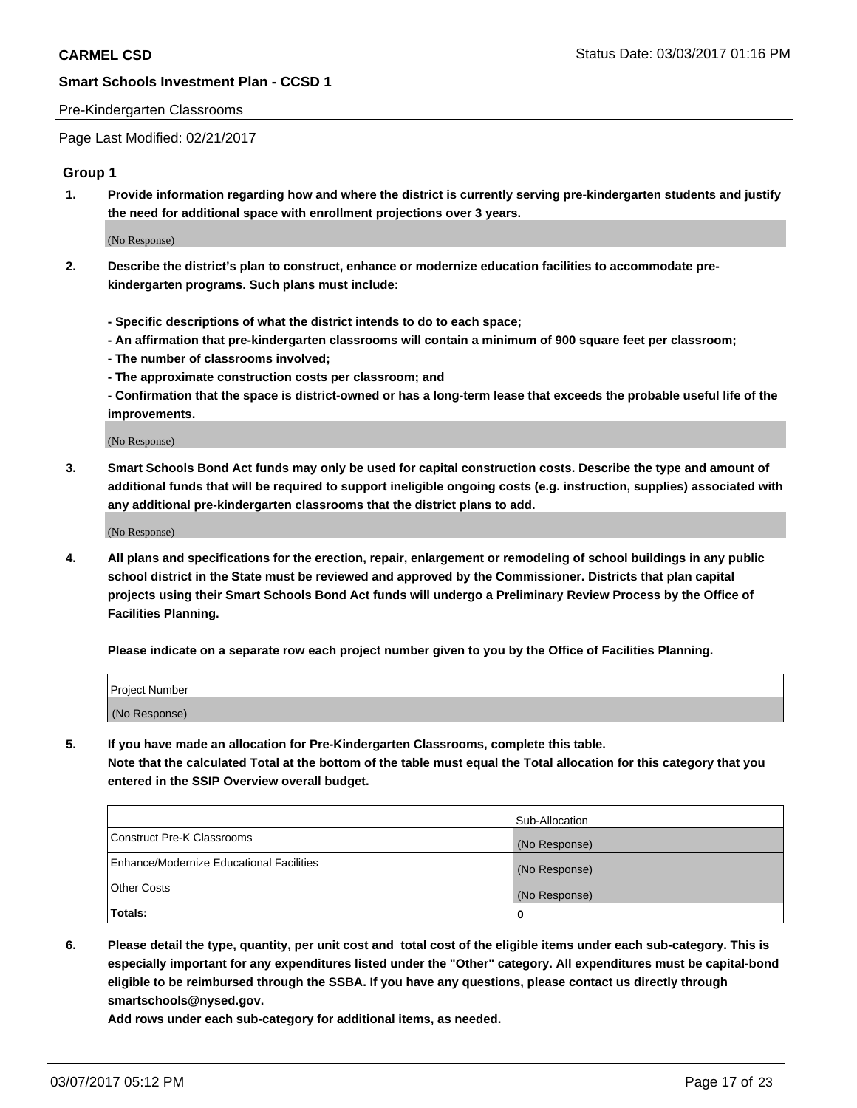### Pre-Kindergarten Classrooms

Page Last Modified: 02/21/2017

### **Group 1**

**1. Provide information regarding how and where the district is currently serving pre-kindergarten students and justify the need for additional space with enrollment projections over 3 years.**

(No Response)

- **2. Describe the district's plan to construct, enhance or modernize education facilities to accommodate prekindergarten programs. Such plans must include:**
	- **Specific descriptions of what the district intends to do to each space;**
	- **An affirmation that pre-kindergarten classrooms will contain a minimum of 900 square feet per classroom;**
	- **The number of classrooms involved;**
	- **The approximate construction costs per classroom; and**
	- **Confirmation that the space is district-owned or has a long-term lease that exceeds the probable useful life of the improvements.**

(No Response)

**3. Smart Schools Bond Act funds may only be used for capital construction costs. Describe the type and amount of additional funds that will be required to support ineligible ongoing costs (e.g. instruction, supplies) associated with any additional pre-kindergarten classrooms that the district plans to add.**

(No Response)

**4. All plans and specifications for the erection, repair, enlargement or remodeling of school buildings in any public school district in the State must be reviewed and approved by the Commissioner. Districts that plan capital projects using their Smart Schools Bond Act funds will undergo a Preliminary Review Process by the Office of Facilities Planning.**

**Please indicate on a separate row each project number given to you by the Office of Facilities Planning.**

| Project Number |  |
|----------------|--|
| (No Response)  |  |

**5. If you have made an allocation for Pre-Kindergarten Classrooms, complete this table. Note that the calculated Total at the bottom of the table must equal the Total allocation for this category that you entered in the SSIP Overview overall budget.**

| Totals:                                  | 0              |
|------------------------------------------|----------------|
| Other Costs                              | (No Response)  |
| Enhance/Modernize Educational Facilities | (No Response)  |
| Construct Pre-K Classrooms               | (No Response)  |
|                                          | Sub-Allocation |

**6. Please detail the type, quantity, per unit cost and total cost of the eligible items under each sub-category. This is especially important for any expenditures listed under the "Other" category. All expenditures must be capital-bond eligible to be reimbursed through the SSBA. If you have any questions, please contact us directly through smartschools@nysed.gov.**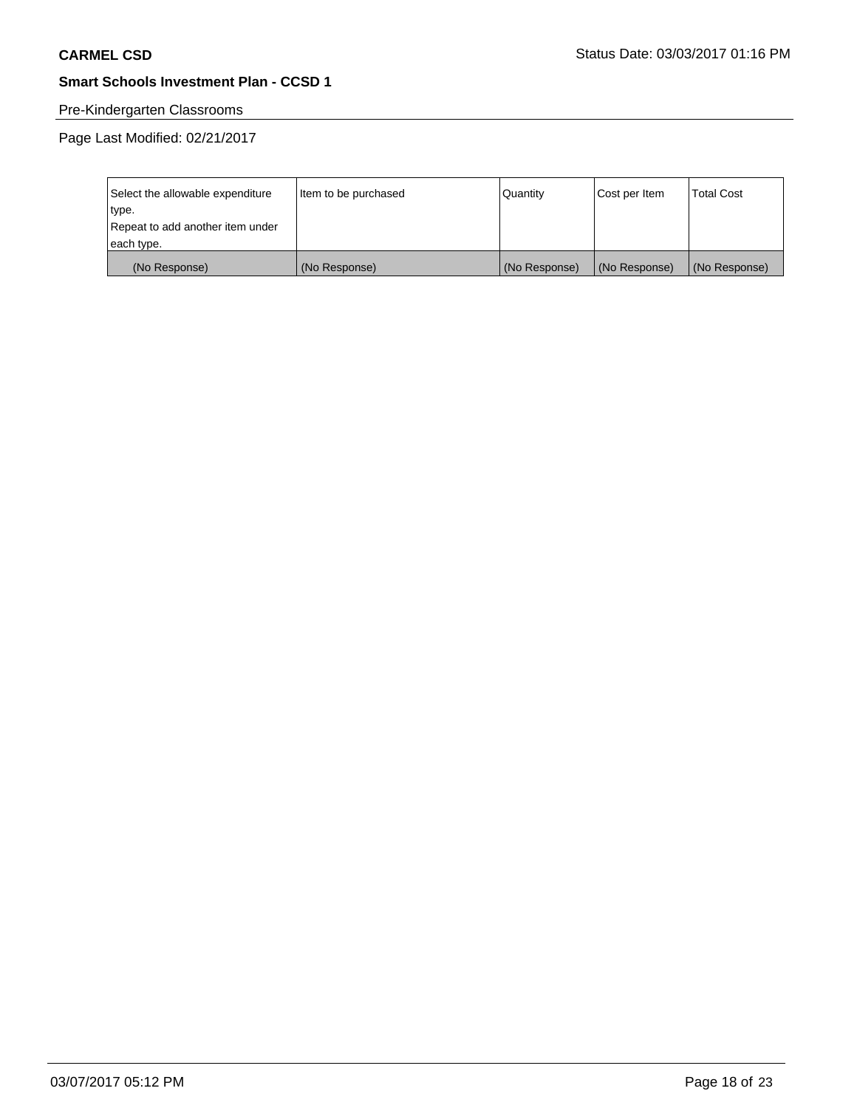# Pre-Kindergarten Classrooms

Page Last Modified: 02/21/2017

| Select the allowable expenditure | Item to be purchased | Quantity      | Cost per Item | <b>Total Cost</b> |
|----------------------------------|----------------------|---------------|---------------|-------------------|
| type.                            |                      |               |               |                   |
| Repeat to add another item under |                      |               |               |                   |
| each type.                       |                      |               |               |                   |
| (No Response)                    | (No Response)        | (No Response) | (No Response) | (No Response)     |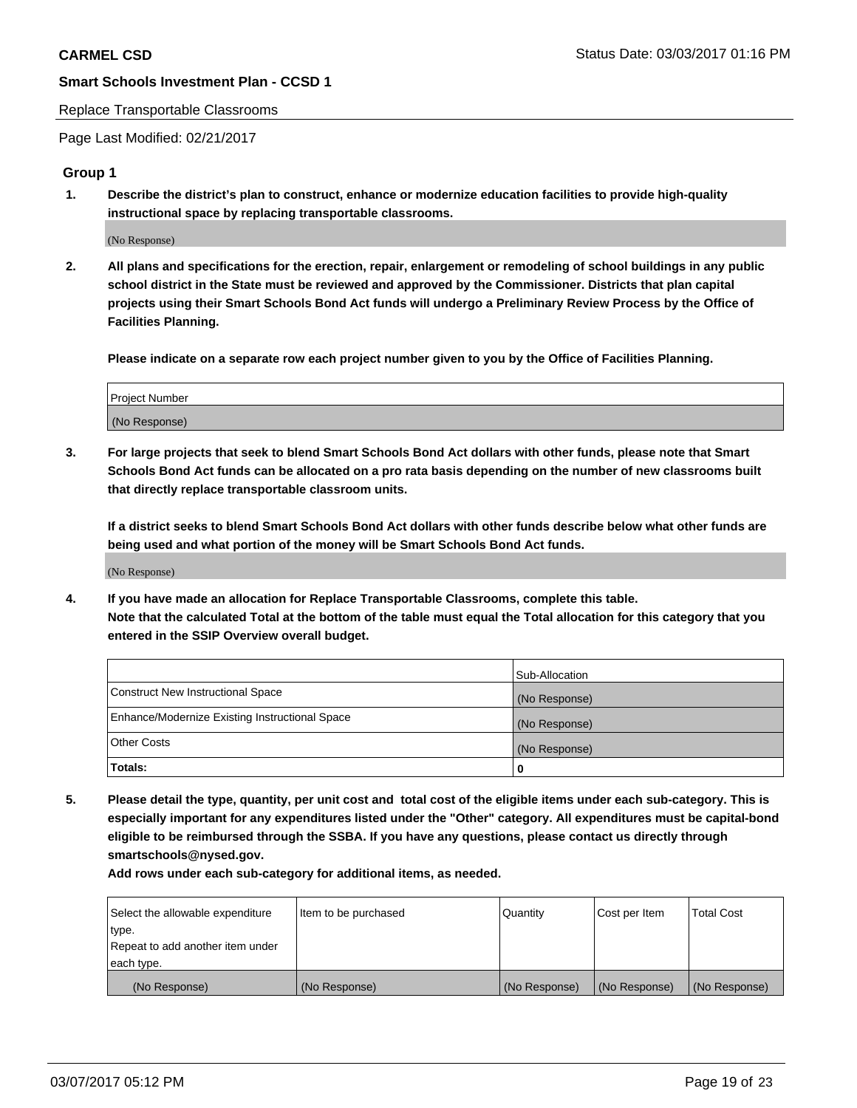### Replace Transportable Classrooms

Page Last Modified: 02/21/2017

### **Group 1**

**1. Describe the district's plan to construct, enhance or modernize education facilities to provide high-quality instructional space by replacing transportable classrooms.**

(No Response)

**2. All plans and specifications for the erection, repair, enlargement or remodeling of school buildings in any public school district in the State must be reviewed and approved by the Commissioner. Districts that plan capital projects using their Smart Schools Bond Act funds will undergo a Preliminary Review Process by the Office of Facilities Planning.**

**Please indicate on a separate row each project number given to you by the Office of Facilities Planning.**

| Project Number |  |
|----------------|--|
| (No Response)  |  |

**3. For large projects that seek to blend Smart Schools Bond Act dollars with other funds, please note that Smart Schools Bond Act funds can be allocated on a pro rata basis depending on the number of new classrooms built that directly replace transportable classroom units.**

**If a district seeks to blend Smart Schools Bond Act dollars with other funds describe below what other funds are being used and what portion of the money will be Smart Schools Bond Act funds.**

(No Response)

**4. If you have made an allocation for Replace Transportable Classrooms, complete this table. Note that the calculated Total at the bottom of the table must equal the Total allocation for this category that you entered in the SSIP Overview overall budget.**

|                                                | Sub-Allocation |
|------------------------------------------------|----------------|
| Construct New Instructional Space              | (No Response)  |
| Enhance/Modernize Existing Instructional Space | (No Response)  |
| Other Costs                                    | (No Response)  |
| Totals:                                        | $\Omega$       |

**5. Please detail the type, quantity, per unit cost and total cost of the eligible items under each sub-category. This is especially important for any expenditures listed under the "Other" category. All expenditures must be capital-bond eligible to be reimbursed through the SSBA. If you have any questions, please contact us directly through smartschools@nysed.gov.**

| Select the allowable expenditure | Item to be purchased | Quantity      | Cost per Item | <b>Total Cost</b> |
|----------------------------------|----------------------|---------------|---------------|-------------------|
| type.                            |                      |               |               |                   |
| Repeat to add another item under |                      |               |               |                   |
| each type.                       |                      |               |               |                   |
| (No Response)                    | (No Response)        | (No Response) | (No Response) | (No Response)     |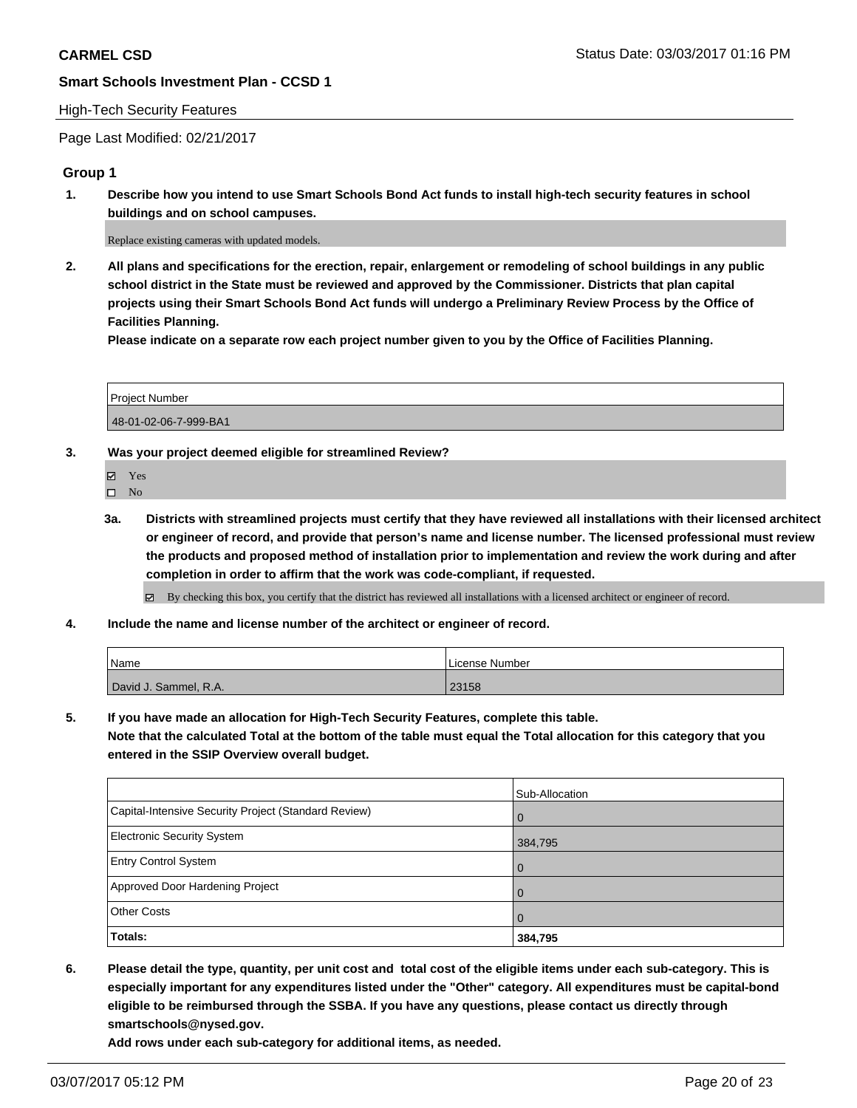### High-Tech Security Features

Page Last Modified: 02/21/2017

### **Group 1**

**1. Describe how you intend to use Smart Schools Bond Act funds to install high-tech security features in school buildings and on school campuses.**

Replace existing cameras with updated models.

**2. All plans and specifications for the erection, repair, enlargement or remodeling of school buildings in any public school district in the State must be reviewed and approved by the Commissioner. Districts that plan capital projects using their Smart Schools Bond Act funds will undergo a Preliminary Review Process by the Office of Facilities Planning.** 

**Please indicate on a separate row each project number given to you by the Office of Facilities Planning.**

| <b>Project Number</b> |  |
|-----------------------|--|
| 48-01-02-06-7-999-BA1 |  |

**3. Was your project deemed eligible for streamlined Review?**

Yes  $\square$  No

**3a. Districts with streamlined projects must certify that they have reviewed all installations with their licensed architect or engineer of record, and provide that person's name and license number. The licensed professional must review the products and proposed method of installation prior to implementation and review the work during and after completion in order to affirm that the work was code-compliant, if requested.**

By checking this box, you certify that the district has reviewed all installations with a licensed architect or engineer of record.

**4. Include the name and license number of the architect or engineer of record.**

| Name                  | License Number |
|-----------------------|----------------|
| David J. Sammel, R.A. | 23158          |

**5. If you have made an allocation for High-Tech Security Features, complete this table.**

**Note that the calculated Total at the bottom of the table must equal the Total allocation for this category that you entered in the SSIP Overview overall budget.**

|                                                      | Sub-Allocation |
|------------------------------------------------------|----------------|
| Capital-Intensive Security Project (Standard Review) | 0              |
| Electronic Security System                           | 384,795        |
| <b>Entry Control System</b>                          | $\Omega$       |
| Approved Door Hardening Project                      | $\Omega$       |
| <b>Other Costs</b>                                   |                |
| Totals:                                              | 384,795        |

**6. Please detail the type, quantity, per unit cost and total cost of the eligible items under each sub-category. This is especially important for any expenditures listed under the "Other" category. All expenditures must be capital-bond eligible to be reimbursed through the SSBA. If you have any questions, please contact us directly through smartschools@nysed.gov.**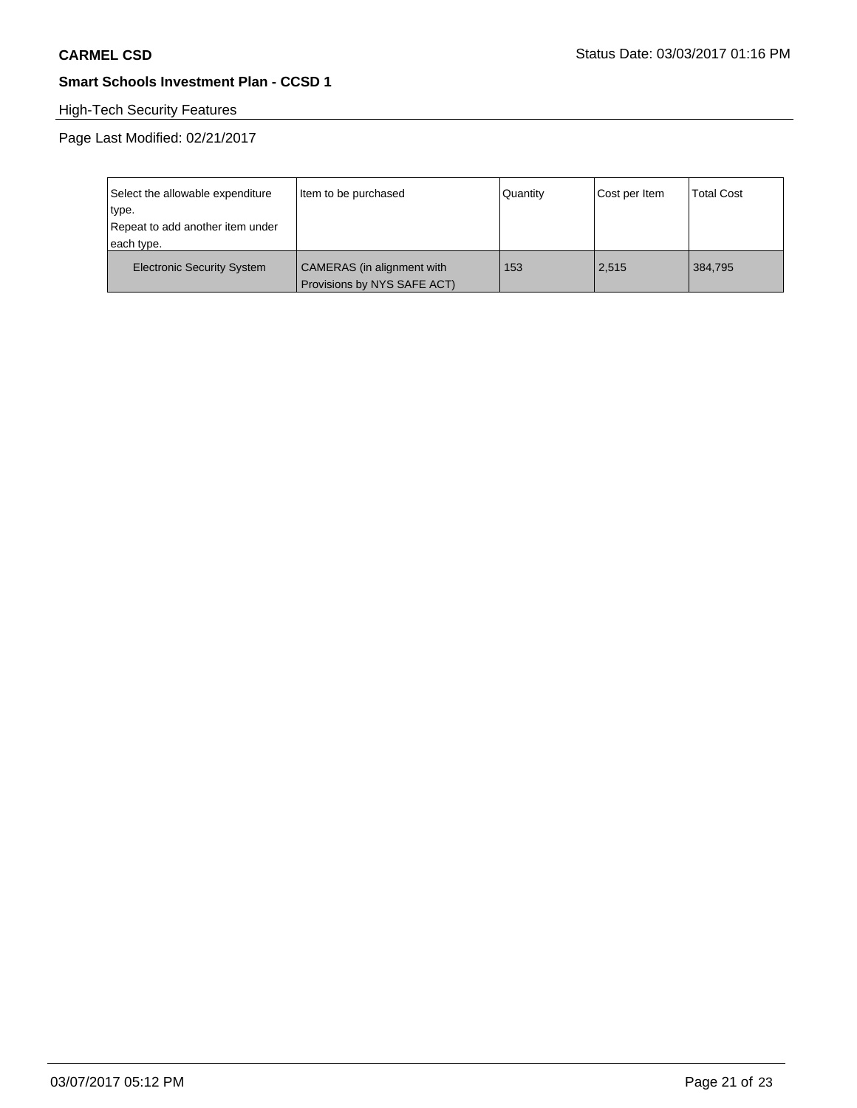# High-Tech Security Features

Page Last Modified: 02/21/2017

| Select the allowable expenditure<br>type.<br>Repeat to add another item under<br>each type. | Item to be purchased                                      | Quantity | Cost per Item | <b>Total Cost</b> |
|---------------------------------------------------------------------------------------------|-----------------------------------------------------------|----------|---------------|-------------------|
| <b>Electronic Security System</b>                                                           | CAMERAS (in alignment with<br>Provisions by NYS SAFE ACT) | 153      | 2,515         | 384.795           |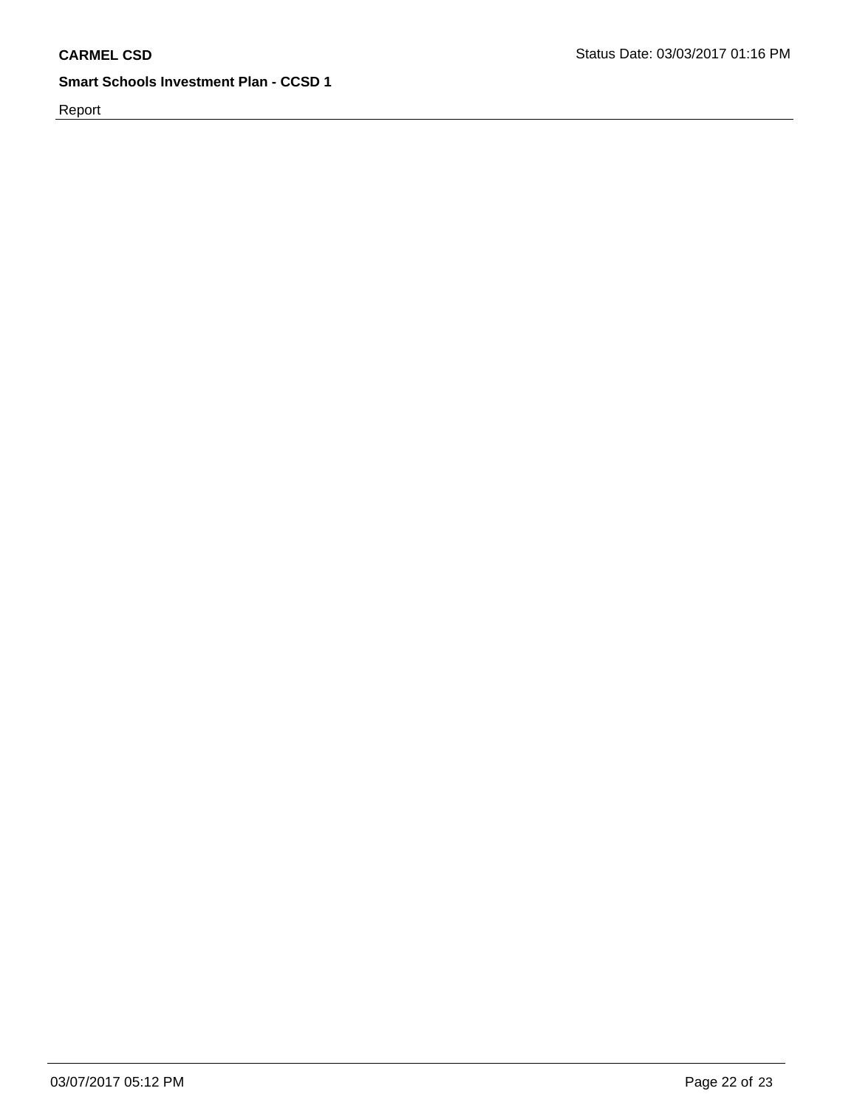Report